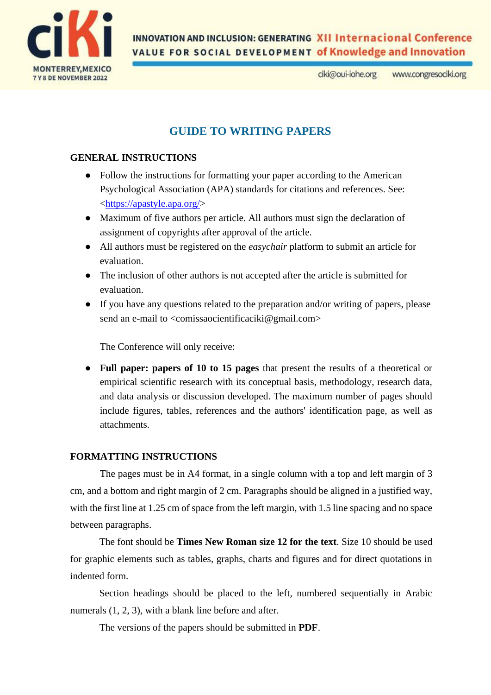

**INNOVATION AND INCLUSION: GENERATING XII Internacional Conference VALUE FOR SOCIAL DEVELOPMENT of Knowledge and Innovation** 

> ciki@oui-iohe.org www.congresociki.org

## **GUIDE TO WRITING PAPERS**

## **GENERAL INSTRUCTIONS**

- Follow the instructions for formatting your paper according to the American Psychological Association (APA) standards for citations and references. See: [<https://apastyle.apa.org/>](https://apastyle.apa.org/)
- Maximum of five authors per article. All authors must sign the declaration of assignment of copyrights after approval of the article.
- All authors must be registered on the *easychair* platform to submit an article for evaluation.
- The inclusion of other authors is not accepted after the article is submitted for evaluation.
- If you have any questions related to the preparation and/or writing of papers, please send an e-mail to <comissaocientificaciki@gmail.com>

The Conference will only receive:

● **Full paper: papers of 10 to 15 pages** that present the results of a theoretical or empirical scientific research with its conceptual basis, methodology, research data, and data analysis or discussion developed. The maximum number of pages should include figures, tables, references and the authors' identification page, as well as attachments.

### **FORMATTING INSTRUCTIONS**

The pages must be in A4 format, in a single column with a top and left margin of 3 cm, and a bottom and right margin of 2 cm. Paragraphs should be aligned in a justified way, with the first line at 1.25 cm of space from the left margin, with 1.5 line spacing and no space between paragraphs.

The font should be **Times New Roman size 12 for the text**. Size 10 should be used for graphic elements such as tables, graphs, charts and figures and for direct quotations in indented form.

Section headings should be placed to the left, numbered sequentially in Arabic numerals  $(1, 2, 3)$ , with a blank line before and after.

The versions of the papers should be submitted in **PDF**.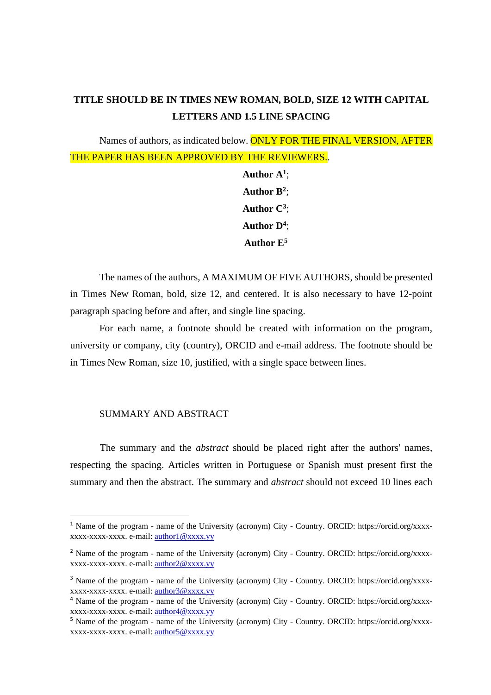# **TITLE SHOULD BE IN TIMES NEW ROMAN, BOLD, SIZE 12 WITH CAPITAL LETTERS AND 1.5 LINE SPACING**

Names of authors, as indicated below. **ONLY FOR THE FINAL VERSION, AFTER** THE PAPER HAS BEEN APPROVED BY THE REVIEWERS.. **Author A<sup>1</sup>** ;

**Author B<sup>2</sup>** ; **Author C<sup>3</sup>** ; **Author D<sup>4</sup>** ; **Author E<sup>5</sup>**

The names of the authors, A MAXIMUM OF FIVE AUTHORS, should be presented in Times New Roman, bold, size 12, and centered. It is also necessary to have 12-point paragraph spacing before and after, and single line spacing.

For each name, a footnote should be created with information on the program, university or company, city (country), ORCID and e-mail address. The footnote should be in Times New Roman, size 10, justified, with a single space between lines.

## SUMMARY AND ABSTRACT

The summary and the *abstract* should be placed right after the authors' names, respecting the spacing. Articles written in Portuguese or Spanish must present first the summary and then the abstract. The summary and *abstract* should not exceed 10 lines each

<sup>1</sup> Name of the program - name of the University (acronym) City - Country. ORCID: https://orcid.org/xxxxxxxx-xxxx-xxxx. e-mail[: author1@xxxx.yy](mailto:author1@xxxx.yy)

<sup>2</sup> Name of the program - name of the University (acronym) City - Country. ORCID: https://orcid.org/xxxxxxxx-xxxx-xxxx. e-mail[: author2@xxxx.yy](mailto:author2@xxxx.yy)

<sup>3</sup> Name of the program - name of the University (acronym) City - Country. ORCID: https://orcid.org/xxxxxxxx-xxxx-xxxx. e-mail[: author3@xxxx.yy](mailto:author3@xxxx.yy)

<sup>4</sup> Name of the program - name of the University (acronym) City - Country. ORCID: https://orcid.org/xxxxxxxx-xxxx-xxxx. e-mail[: author4@xxxx.yy](mailto:author4@xxxx.yy)

<sup>5</sup> Name of the program - name of the University (acronym) City - Country. ORCID: https://orcid.org/xxxxxxxx-xxxx-xxxx. e-mail[: author5@xxxx.yy](mailto:author5@xxxx.yy)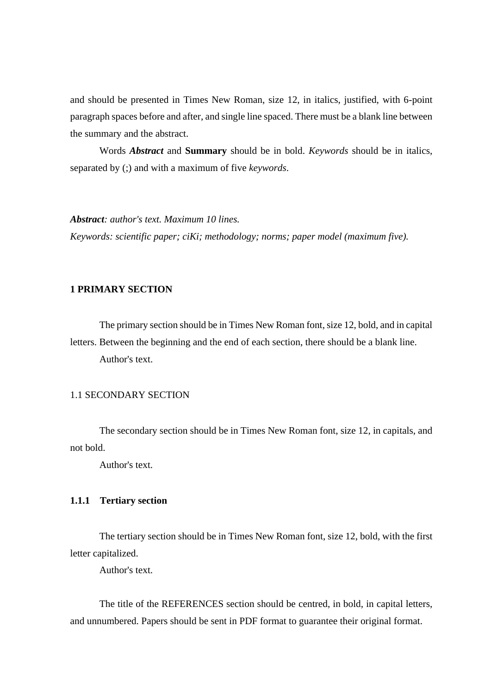and should be presented in Times New Roman, size 12, in italics, justified, with 6-point paragraph spaces before and after, and single line spaced. There must be a blank line between the summary and the abstract.

Words *Abstract* and **Summary** should be in bold. *Keywords* should be in italics, separated by (;) and with a maximum of five *keywords*.

*Abstract: author's text. Maximum 10 lines.*

*Keywords: scientific paper; ciKi; methodology; norms; paper model (maximum five).*

## **1 PRIMARY SECTION**

The primary section should be in Times New Roman font, size 12, bold, and in capital letters. Between the beginning and the end of each section, there should be a blank line. Author's text.

## 1.1 SECONDARY SECTION

The secondary section should be in Times New Roman font, size 12, in capitals, and not bold.

Author's text.

#### **1.1.1 Tertiary section**

The tertiary section should be in Times New Roman font, size 12, bold, with the first letter capitalized.

Author's text.

The title of the REFERENCES section should be centred, in bold, in capital letters, and unnumbered. Papers should be sent in PDF format to guarantee their original format.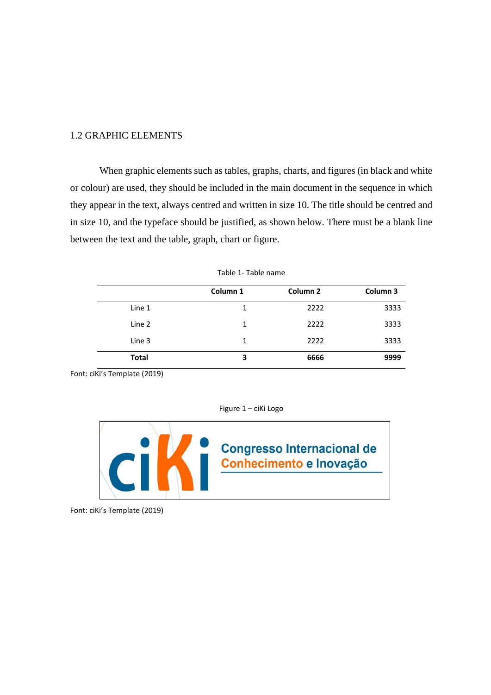#### 1.2 GRAPHIC ELEMENTS

When graphic elements such as tables, graphs, charts, and figures (in black and white or colour) are used, they should be included in the main document in the sequence in which they appear in the text, always centred and written in size 10. The title should be centred and in size 10, and the typeface should be justified, as shown below. There must be a blank line between the text and the table, graph, chart or figure.

|              | Column 1 | Column <sub>2</sub> | Column 3 |
|--------------|----------|---------------------|----------|
| Line 1       | 1        | 2222                | 3333     |
| Line 2       | 1        | 2222                | 3333     |
| Line 3       | 1        | 2222                | 3333     |
| <b>Total</b> | 3        | 6666                | 9999     |

| Table 1- Table name |  |  |  |  |
|---------------------|--|--|--|--|
|---------------------|--|--|--|--|

Font: ciKi's Template (2019)

Figure 1 – ciKi Logo



Font: ciKi's Template (2019)